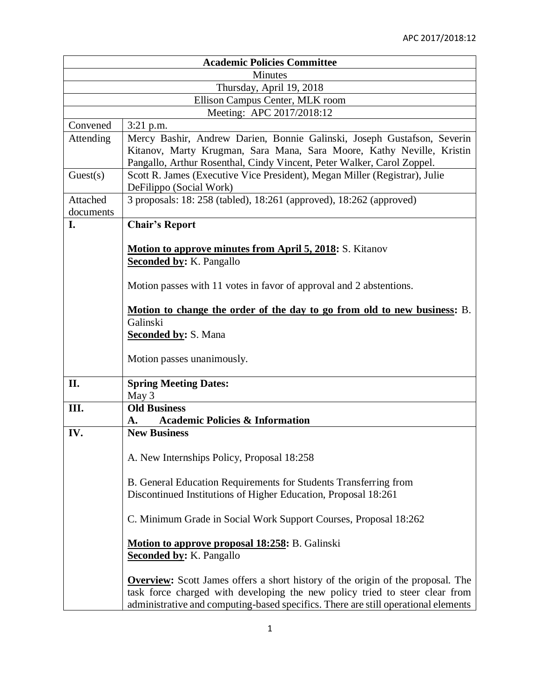| <b>Academic Policies Committee</b> |                                                                                                                                                                                                                                                             |
|------------------------------------|-------------------------------------------------------------------------------------------------------------------------------------------------------------------------------------------------------------------------------------------------------------|
| <b>Minutes</b>                     |                                                                                                                                                                                                                                                             |
| Thursday, April 19, 2018           |                                                                                                                                                                                                                                                             |
| Ellison Campus Center, MLK room    |                                                                                                                                                                                                                                                             |
| Meeting: APC 2017/2018:12          |                                                                                                                                                                                                                                                             |
| Convened                           | 3:21 p.m.                                                                                                                                                                                                                                                   |
| Attending                          | Mercy Bashir, Andrew Darien, Bonnie Galinski, Joseph Gustafson, Severin<br>Kitanov, Marty Krugman, Sara Mana, Sara Moore, Kathy Neville, Kristin<br>Pangallo, Arthur Rosenthal, Cindy Vincent, Peter Walker, Carol Zoppel.                                  |
| Guest(s)                           | Scott R. James (Executive Vice President), Megan Miller (Registrar), Julie<br>DeFilippo (Social Work)                                                                                                                                                       |
| Attached<br>documents              | 3 proposals: 18: 258 (tabled), 18:261 (approved), 18:262 (approved)                                                                                                                                                                                         |
| I.                                 | <b>Chair's Report</b>                                                                                                                                                                                                                                       |
|                                    | <b>Motion to approve minutes from April 5, 2018:</b> S. Kitanov<br><b>Seconded by: K. Pangallo</b>                                                                                                                                                          |
|                                    | Motion passes with 11 votes in favor of approval and 2 abstentions.                                                                                                                                                                                         |
|                                    | Motion to change the order of the day to go from old to new business: B.<br>Galinski<br><b>Seconded by: S. Mana</b><br>Motion passes unanimously.                                                                                                           |
|                                    |                                                                                                                                                                                                                                                             |
| II.                                | <b>Spring Meeting Dates:</b>                                                                                                                                                                                                                                |
| III.                               | May 3<br><b>Old Business</b>                                                                                                                                                                                                                                |
|                                    |                                                                                                                                                                                                                                                             |
| IV.                                | <b>Academic Policies &amp; Information</b><br>A.<br><b>New Business</b>                                                                                                                                                                                     |
|                                    |                                                                                                                                                                                                                                                             |
|                                    | A. New Internships Policy, Proposal 18:258                                                                                                                                                                                                                  |
|                                    | B. General Education Requirements for Students Transferring from<br>Discontinued Institutions of Higher Education, Proposal 18:261                                                                                                                          |
|                                    | C. Minimum Grade in Social Work Support Courses, Proposal 18:262                                                                                                                                                                                            |
|                                    | Motion to approve proposal 18:258: B. Galinski<br><b>Seconded by: K. Pangallo</b>                                                                                                                                                                           |
|                                    | <b>Overview:</b> Scott James offers a short history of the origin of the proposal. The<br>task force charged with developing the new policy tried to steer clear from<br>administrative and computing-based specifics. There are still operational elements |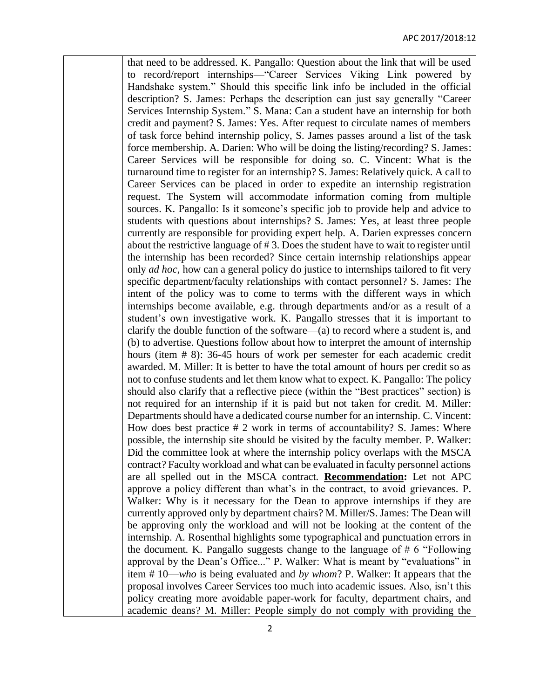that need to be addressed. K. Pangallo: Question about the link that will be used to record/report internships—"Career Services Viking Link powered by Handshake system." Should this specific link info be included in the official description? S. James: Perhaps the description can just say generally "Career Services Internship System." S. Mana: Can a student have an internship for both credit and payment? S. James: Yes. After request to circulate names of members of task force behind internship policy, S. James passes around a list of the task force membership. A. Darien: Who will be doing the listing/recording? S. James: Career Services will be responsible for doing so. C. Vincent: What is the turnaround time to register for an internship? S. James: Relatively quick. A call to Career Services can be placed in order to expedite an internship registration request. The System will accommodate information coming from multiple sources. K. Pangallo: Is it someone's specific job to provide help and advice to students with questions about internships? S. James: Yes, at least three people currently are responsible for providing expert help. A. Darien expresses concern about the restrictive language of # 3. Does the student have to wait to register until the internship has been recorded? Since certain internship relationships appear only *ad hoc*, how can a general policy do justice to internships tailored to fit very specific department/faculty relationships with contact personnel? S. James: The intent of the policy was to come to terms with the different ways in which internships become available, e.g. through departments and/or as a result of a student's own investigative work. K. Pangallo stresses that it is important to clarify the double function of the software—(a) to record where a student is, and (b) to advertise. Questions follow about how to interpret the amount of internship hours (item # 8): 36-45 hours of work per semester for each academic credit awarded. M. Miller: It is better to have the total amount of hours per credit so as not to confuse students and let them know what to expect. K. Pangallo: The policy should also clarify that a reflective piece (within the "Best practices" section) is not required for an internship if it is paid but not taken for credit. M. Miller: Departments should have a dedicated course number for an internship. C. Vincent: How does best practice # 2 work in terms of accountability? S. James: Where possible, the internship site should be visited by the faculty member. P. Walker: Did the committee look at where the internship policy overlaps with the MSCA contract? Faculty workload and what can be evaluated in faculty personnel actions are all spelled out in the MSCA contract. **Recommendation:** Let not APC approve a policy different than what's in the contract, to avoid grievances. P. Walker: Why is it necessary for the Dean to approve internships if they are currently approved only by department chairs? M. Miller/S. James: The Dean will be approving only the workload and will not be looking at the content of the internship. A. Rosenthal highlights some typographical and punctuation errors in the document. K. Pangallo suggests change to the language of  $# 6$  "Following" approval by the Dean's Office..." P. Walker: What is meant by "evaluations" in item # 10—*who* is being evaluated and *by whom*? P. Walker: It appears that the proposal involves Career Services too much into academic issues. Also, isn't this policy creating more avoidable paper-work for faculty, department chairs, and academic deans? M. Miller: People simply do not comply with providing the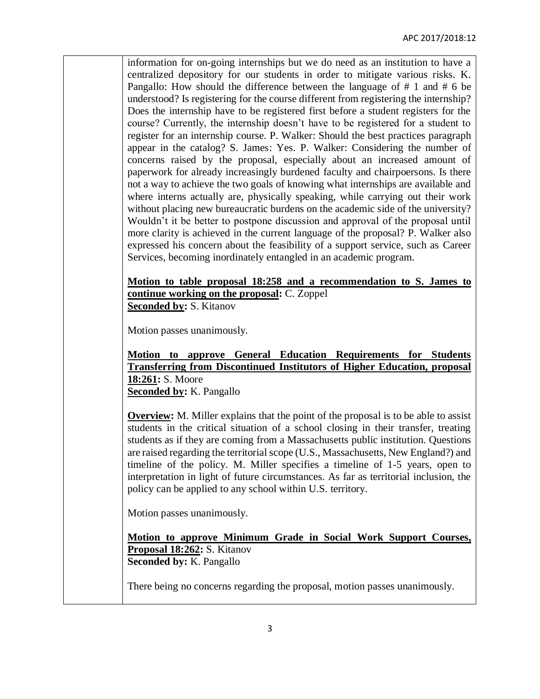information for on-going internships but we do need as an institution to have a centralized depository for our students in order to mitigate various risks. K. Pangallo: How should the difference between the language of # 1 and # 6 be understood? Is registering for the course different from registering the internship? Does the internship have to be registered first before a student registers for the course? Currently, the internship doesn't have to be registered for a student to register for an internship course. P. Walker: Should the best practices paragraph appear in the catalog? S. James: Yes. P. Walker: Considering the number of concerns raised by the proposal, especially about an increased amount of paperwork for already increasingly burdened faculty and chairpoersons. Is there not a way to achieve the two goals of knowing what internships are available and where interns actually are, physically speaking, while carrying out their work without placing new bureaucratic burdens on the academic side of the university? Wouldn't it be better to postpone discussion and approval of the proposal until more clarity is achieved in the current language of the proposal? P. Walker also expressed his concern about the feasibility of a support service, such as Career Services, becoming inordinately entangled in an academic program.

**Motion to table proposal 18:258 and a recommendation to S. James to continue working on the proposal:** C. Zoppel **Seconded by:** S. Kitanov

Motion passes unanimously.

**Motion to approve General Education Requirements for Students Transferring from Discontinued Institutors of Higher Education, proposal 18:261:** S. Moore **Seconded by:** K. Pangallo

**Overview:** M. Miller explains that the point of the proposal is to be able to assist students in the critical situation of a school closing in their transfer, treating students as if they are coming from a Massachusetts public institution. Questions are raised regarding the territorial scope (U.S., Massachusetts, New England?) and timeline of the policy. M. Miller specifies a timeline of 1-5 years, open to interpretation in light of future circumstances. As far as territorial inclusion, the policy can be applied to any school within U.S. territory.

Motion passes unanimously.

**Motion to approve Minimum Grade in Social Work Support Courses, Proposal 18:262:** S. Kitanov **Seconded by:** K. Pangallo

There being no concerns regarding the proposal, motion passes unanimously.